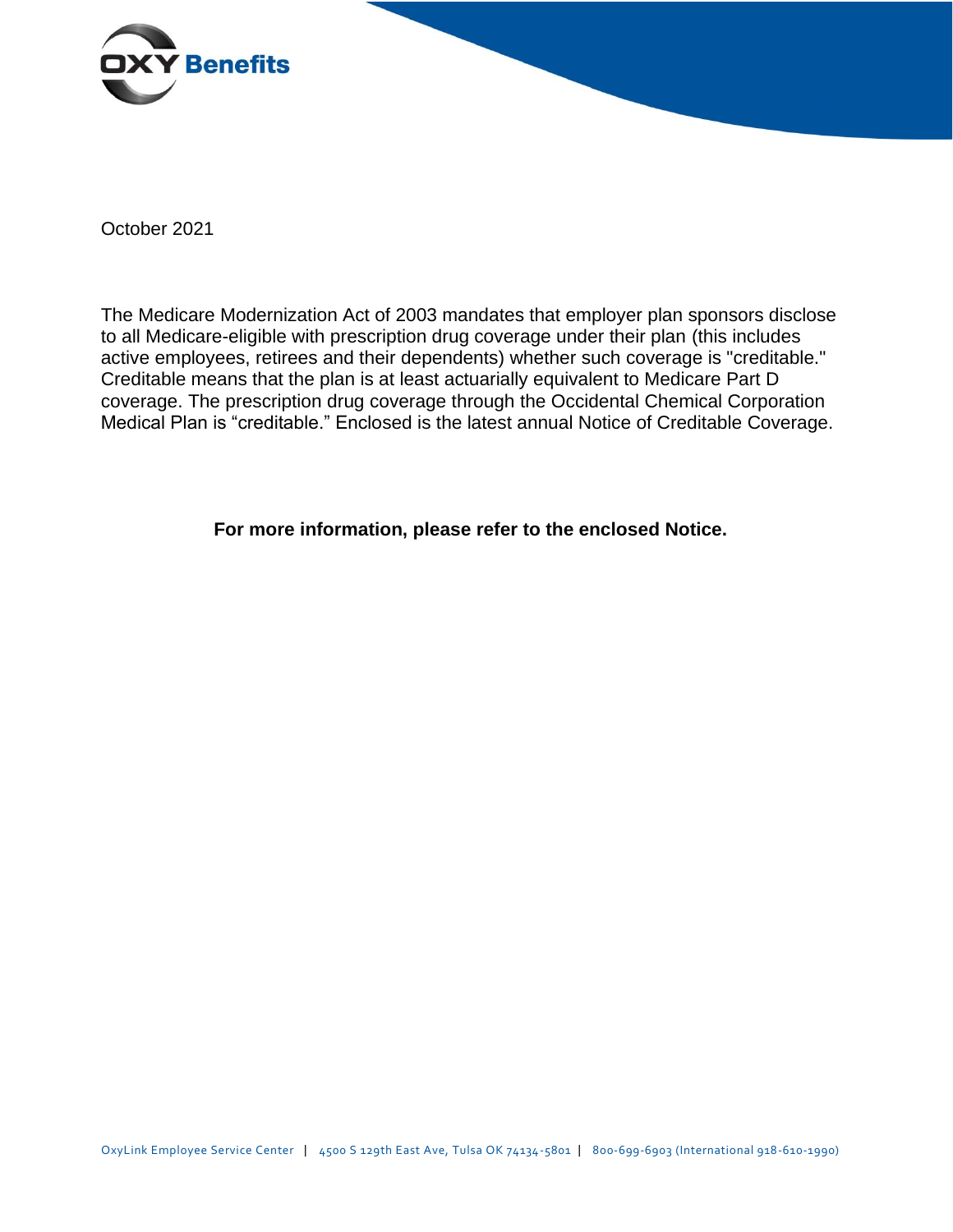

October 2021

The Medicare Modernization Act of 2003 mandates that employer plan sponsors disclose to all Medicare-eligible with prescription drug coverage under their plan (this includes active employees, retirees and their dependents) whether such coverage is "creditable." Creditable means that the plan is at least actuarially equivalent to Medicare Part D coverage. The prescription drug coverage through the Occidental Chemical Corporation Medical Plan is "creditable." Enclosed is the latest annual Notice of Creditable Coverage.

**For more information, please refer to the enclosed Notice.**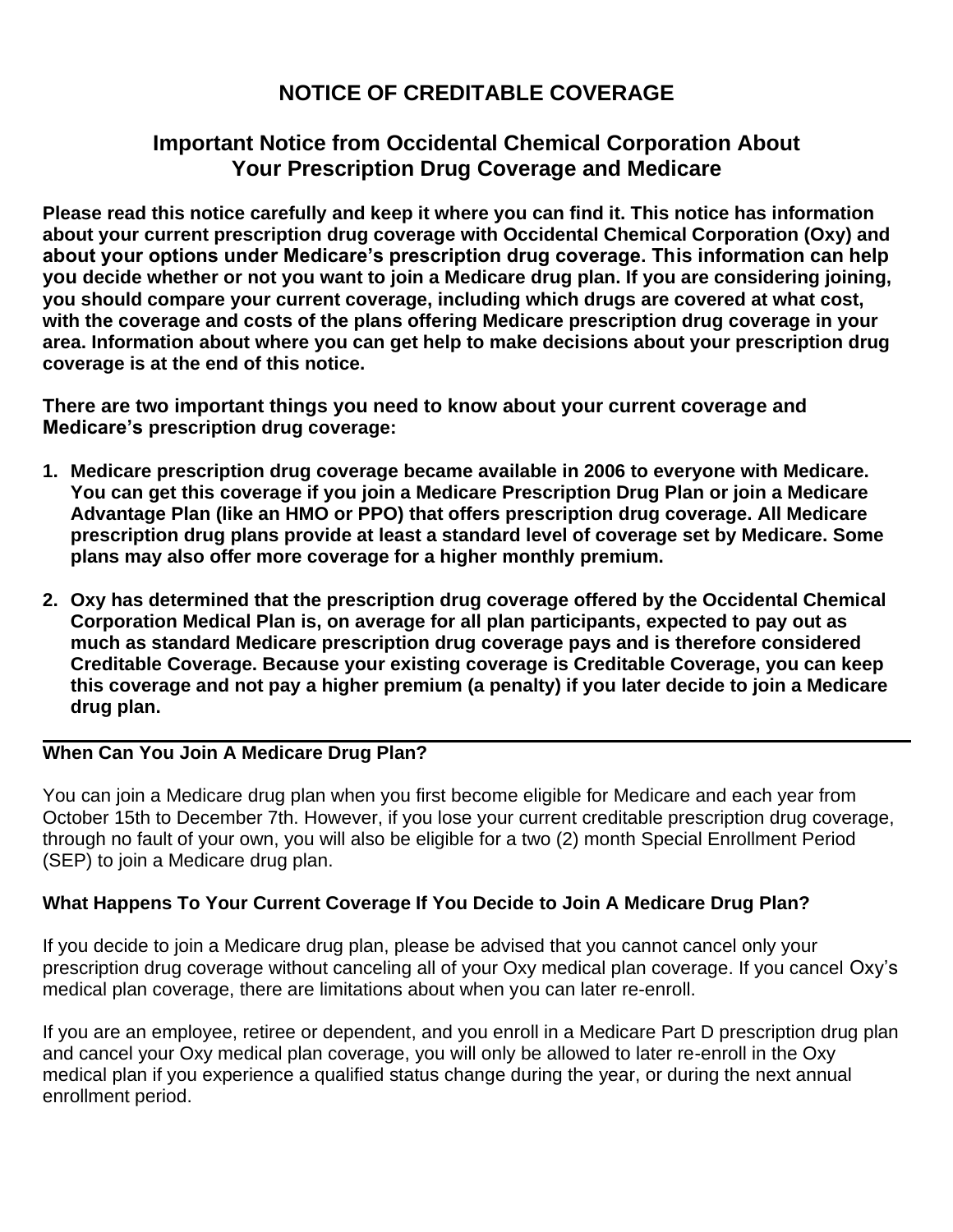# **NOTICE OF CREDITABLE COVERAGE**

# **Important Notice from Occidental Chemical Corporation About Your Prescription Drug Coverage and Medicare**

**Please read this notice carefully and keep it where you can find it. This notice has information about your current prescription drug coverage with Occidental Chemical Corporation (Oxy) and about your options under Medicare's prescription drug coverage. This information can help you decide whether or not you want to join a Medicare drug plan. If you are considering joining, you should compare your current coverage, including which drugs are covered at what cost, with the coverage and costs of the plans offering Medicare prescription drug coverage in your area. Information about where you can get help to make decisions about your prescription drug coverage is at the end of this notice.**

**There are two important things you need to know about your current coverage and Medicare's prescription drug coverage:**

- **1. Medicare prescription drug coverage became available in 2006 to everyone with Medicare. You can get this coverage if you join a Medicare Prescription Drug Plan or join a Medicare Advantage Plan (like an HMO or PPO) that offers prescription drug coverage. All Medicare prescription drug plans provide at least a standard level of coverage set by Medicare. Some plans may also offer more coverage for a higher monthly premium.**
- **2. Oxy has determined that the prescription drug coverage offered by the Occidental Chemical Corporation Medical Plan is, on average for all plan participants, expected to pay out as much as standard Medicare prescription drug coverage pays and is therefore considered Creditable Coverage. Because your existing coverage is Creditable Coverage, you can keep this coverage and not pay a higher premium (a penalty) if you later decide to join a Medicare drug plan.**

# **When Can You Join A Medicare Drug Plan?**

You can join a Medicare drug plan when you first become eligible for Medicare and each year from October 15th to December 7th. However, if you lose your current creditable prescription drug coverage, through no fault of your own, you will also be eligible for a two (2) month Special Enrollment Period (SEP) to join a Medicare drug plan.

# **What Happens To Your Current Coverage If You Decide to Join A Medicare Drug Plan?**

If you decide to join a Medicare drug plan, please be advised that you cannot cancel only your prescription drug coverage without canceling all of your Oxy medical plan coverage. If you cancel Oxy's medical plan coverage, there are limitations about when you can later re-enroll.

If you are an employee, retiree or dependent, and you enroll in a Medicare Part D prescription drug plan and cancel your Oxy medical plan coverage, you will only be allowed to later re-enroll in the Oxy medical plan if you experience a qualified status change during the year, or during the next annual enrollment period.